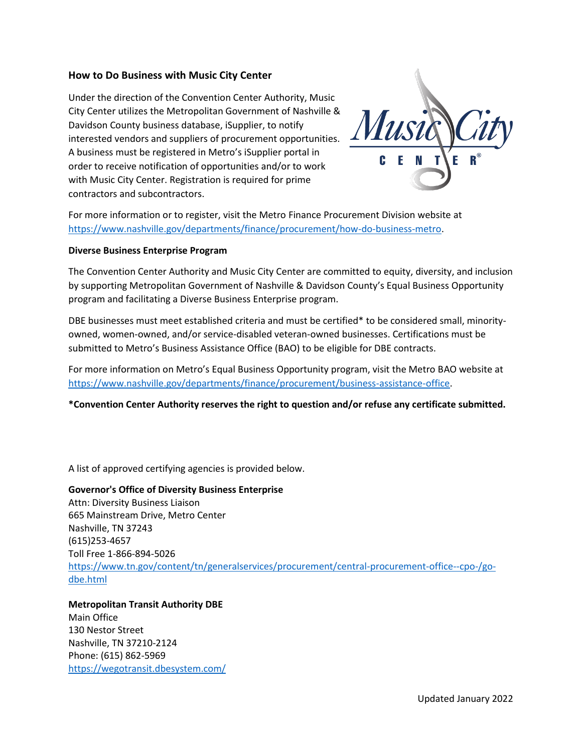# **How to Do Business with Music City Center**

Under the direction of the Convention Center Authority, Music City Center utilizes the Metropolitan Government of Nashville & Davidson County business database, iSupplier, to notify interested vendors and suppliers of procurement opportunities. A business must be registered in Metro's iSupplier portal in order to receive notification of opportunities and/or to work with Music City Center. Registration is required for prime contractors and subcontractors.



For more information or to register, visit the Metro Finance Procurement Division website at [https://www.nashville.gov/departments/finance/procurement/how-do-business-metro.](https://www.nashville.gov/departments/finance/procurement/how-do-business-metro)

#### **Diverse Business Enterprise Program**

The Convention Center Authority and Music City Center are committed to equity, diversity, and inclusion by supporting Metropolitan Government of Nashville & Davidson County's Equal Business Opportunity program and facilitating a Diverse Business Enterprise program.

DBE businesses must meet established criteria and must be certified\* to be considered small, minorityowned, women-owned, and/or service-disabled veteran-owned businesses. Certifications must be submitted to Metro's Business Assistance Office (BAO) to be eligible for DBE contracts.

For more information on Metro's Equal Business Opportunity program, visit the Metro BAO website at [https://www.nashville.gov/departments/finance/procurement/business-assistance-office.](https://www.nashville.gov/departments/finance/procurement/business-assistance-office)

**\*Convention Center Authority reserves the right to question and/or refuse any certificate submitted.**

A list of approved certifying agencies is provided below.

**Governor's Office of Diversity Business Enterprise** Attn: Diversity Business Liaison 665 Mainstream Drive, Metro Center Nashville, TN 37243 (615)253-4657 Toll Free 1-866-894-5026 [https://www.tn.gov/content/tn/generalservices/procurement/central-procurement-office--cpo-/go](https://www.tn.gov/content/tn/generalservices/procurement/central-procurement-office--cpo-/go-dbe.html)[dbe.html](https://www.tn.gov/content/tn/generalservices/procurement/central-procurement-office--cpo-/go-dbe.html)

**Metropolitan Transit Authority DBE**  Main Office 130 Nestor Street Nashville, TN 37210-2124 Phone: (615) 862-5969 <https://wegotransit.dbesystem.com/>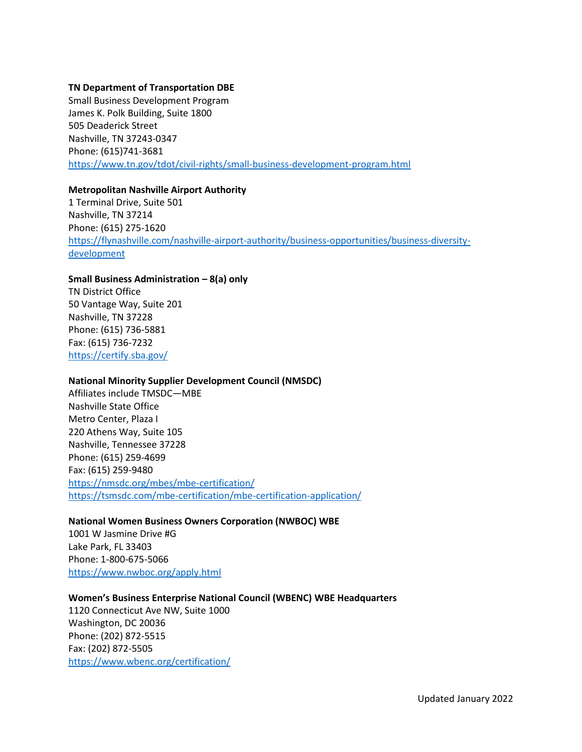#### **TN Department of Transportation DBE**

Small Business Development Program James K. Polk Building, Suite 1800 505 Deaderick Street Nashville, TN 37243-0347 Phone: (615)741-3681 <https://www.tn.gov/tdot/civil-rights/small-business-development-program.html>

#### **Metropolitan Nashville Airport Authority**

1 Terminal Drive, Suite 501 Nashville, TN 37214 Phone: (615) 275-1620 [https://flynashville.com/nashville-airport-authority/business-opportunities/business-diversity](https://flynashville.com/nashville-airport-authority/business-opportunities/business-diversity-development)[development](https://flynashville.com/nashville-airport-authority/business-opportunities/business-diversity-development)

#### **Small Business Administration – 8(a) only**

TN District Office 50 Vantage Way, Suite 201 Nashville, TN 37228 Phone: (615) 736-5881 Fax: (615) 736-7232 <https://certify.sba.gov/>

### **National Minority Supplier Development Council (NMSDC)**

Affiliates include TMSDC—MBE Nashville State Office Metro Center, Plaza I 220 Athens Way, Suite 105 Nashville, Tennessee 37228 Phone: (615) 259-4699 Fax: (615) 259-9480 <https://nmsdc.org/mbes/mbe-certification/> <https://tsmsdc.com/mbe-certification/mbe-certification-application/>

## **National Women Business Owners Corporation (NWBOC) WBE**

1001 W Jasmine Drive #G Lake Park, FL 33403 Phone: 1-800-675-5066 <https://www.nwboc.org/apply.html>

## **Women's Business Enterprise National Council (WBENC) WBE Headquarters**

1120 Connecticut Ave NW, Suite 1000 Washington, DC 20036 Phone: (202) 872-5515 Fax: (202) 872-5505 <https://www.wbenc.org/certification/>